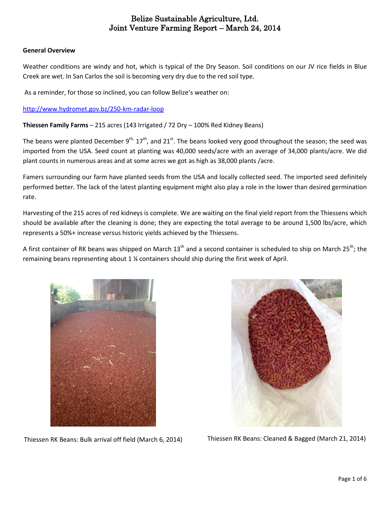#### **General Overview**

Weather conditions are windy and hot, which is typical of the Dry Season. Soil conditions on our JV rice fields in Blue Creek are wet. In San Carlos the soil is becoming very dry due to the red soil type.

As a reminder, for those so inclined, you can follow Belize's weather on:

<http://www.hydromet.gov.bz/250-km-radar-loop>

**Thiessen Family Farms** – 215 acres (143 Irrigated / 72 Dry – 100% Red Kidney Beans)

The beans were planted December 9<sup>th,</sup> 17<sup>th</sup>, and 21<sup>st</sup>. The beans looked very good throughout the season; the seed was imported from the USA. Seed count at planting was 40,000 seeds/acre with an average of 34,000 plants/acre. We did plant counts in numerous areas and at some acres we got as high as 38,000 plants /acre.

Famers surrounding our farm have planted seeds from the USA and locally collected seed. The imported seed definitely performed better. The lack of the latest planting equipment might also play a role in the lower than desired germination rate.

Harvesting of the 215 acres of red kidneys is complete. We are waiting on the final yield report from the Thiessens which should be available after the cleaning is done; they are expecting the total average to be around 1,500 lbs/acre, which represents a 50%+ increase versus historic yields achieved by the Thiessens.

A first container of RK beans was shipped on March 13<sup>th</sup> and a second container is scheduled to ship on March 25<sup>th</sup>; the remaining beans representing about 1 ¼ containers should ship during the first week of April.





Thiessen RK Beans: Bulk arrival off field (March 6, 2014) Thiessen RK Beans: Cleaned & Bagged (March 21, 2014)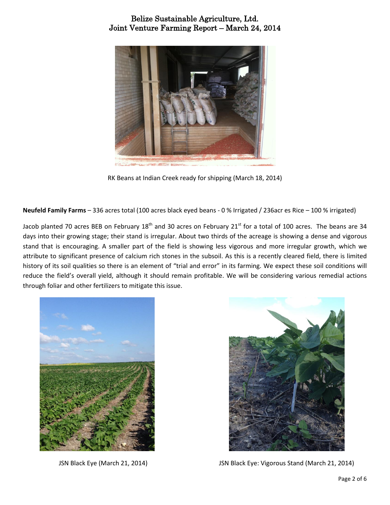

RK Beans at Indian Creek ready for shipping (March 18, 2014)

**Neufeld Family Farms** – 336 acres total (100 acres black eyed beans - 0 % Irrigated / 236acr es Rice – 100 % irrigated)

Jacob planted 70 acres BEB on February  $18<sup>th</sup>$  and 30 acres on February  $21<sup>st</sup>$  for a total of 100 acres. The beans are 34 days into their growing stage; their stand is irregular. About two thirds of the acreage is showing a dense and vigorous stand that is encouraging. A smaller part of the field is showing less vigorous and more irregular growth, which we attribute to significant presence of calcium rich stones in the subsoil. As this is a recently cleared field, there is limited history of its soil qualities so there is an element of "trial and error" in its farming. We expect these soil conditions will reduce the field's overall yield, although it should remain profitable. We will be considering various remedial actions through foliar and other fertilizers to mitigate this issue.





JSN Black Eye (March 21, 2014) JSN Black Eye: Vigorous Stand (March 21, 2014)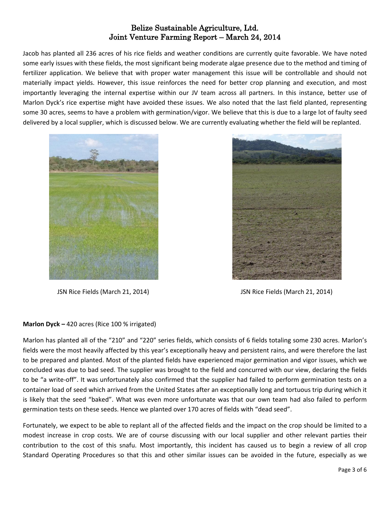Jacob has planted all 236 acres of his rice fields and weather conditions are currently quite favorable. We have noted some early issues with these fields, the most significant being moderate algae presence due to the method and timing of fertilizer application. We believe that with proper water management this issue will be controllable and should not materially impact yields. However, this issue reinforces the need for better crop planning and execution, and most importantly leveraging the internal expertise within our JV team across all partners. In this instance, better use of Marlon Dyck's rice expertise might have avoided these issues. We also noted that the last field planted, representing some 30 acres, seems to have a problem with germination/vigor. We believe that this is due to a large lot of faulty seed delivered by a local supplier, which is discussed below. We are currently evaluating whether the field will be replanted.



JSN Rice Fields (March 21, 2014) JSN Rice Fields (March 21, 2014)



### **Marlon Dyck –** 420 acres (Rice 100 % irrigated)

Marlon has planted all of the "210" and "220" series fields, which consists of 6 fields totaling some 230 acres. Marlon's fields were the most heavily affected by this year's exceptionally heavy and persistent rains, and were therefore the last to be prepared and planted. Most of the planted fields have experienced major germination and vigor issues, which we concluded was due to bad seed. The supplier was brought to the field and concurred with our view, declaring the fields to be "a write-off". It was unfortunately also confirmed that the supplier had failed to perform germination tests on a container load of seed which arrived from the United States after an exceptionally long and tortuous trip during which it is likely that the seed "baked". What was even more unfortunate was that our own team had also failed to perform germination tests on these seeds. Hence we planted over 170 acres of fields with "dead seed".

Fortunately, we expect to be able to replant all of the affected fields and the impact on the crop should be limited to a modest increase in crop costs. We are of course discussing with our local supplier and other relevant parties their contribution to the cost of this snafu. Most importantly, this incident has caused us to begin a review of all crop Standard Operating Procedures so that this and other similar issues can be avoided in the future, especially as we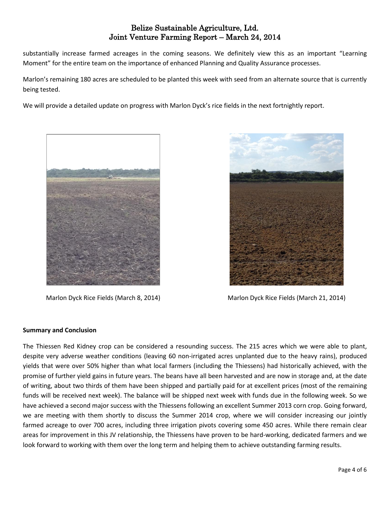substantially increase farmed acreages in the coming seasons. We definitely view this as an important "Learning Moment" for the entire team on the importance of enhanced Planning and Quality Assurance processes.

Marlon's remaining 180 acres are scheduled to be planted this week with seed from an alternate source that is currently being tested.

We will provide a detailed update on progress with Marlon Dyck's rice fields in the next fortnightly report.





Marlon Dyck Rice Fields (March 8, 2014) Marlon Dyck Rice Fields (March 21, 2014)

### **Summary and Conclusion**

The Thiessen Red Kidney crop can be considered a resounding success. The 215 acres which we were able to plant, despite very adverse weather conditions (leaving 60 non-irrigated acres unplanted due to the heavy rains), produced yields that were over 50% higher than what local farmers (including the Thiessens) had historically achieved, with the promise of further yield gains in future years. The beans have all been harvested and are now in storage and, at the date of writing, about two thirds of them have been shipped and partially paid for at excellent prices (most of the remaining funds will be received next week). The balance will be shipped next week with funds due in the following week. So we have achieved a second major success with the Thiessens following an excellent Summer 2013 corn crop. Going forward, we are meeting with them shortly to discuss the Summer 2014 crop, where we will consider increasing our jointly farmed acreage to over 700 acres, including three irrigation pivots covering some 450 acres. While there remain clear areas for improvement in this JV relationship, the Thiessens have proven to be hard-working, dedicated farmers and we look forward to working with them over the long term and helping them to achieve outstanding farming results.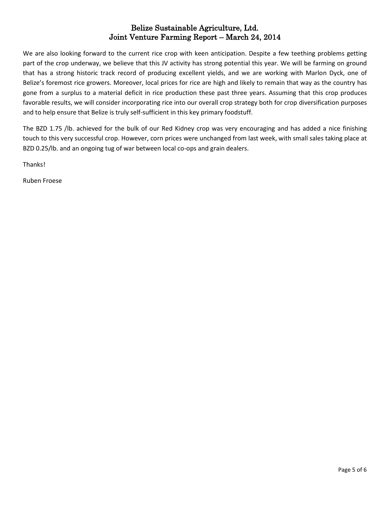We are also looking forward to the current rice crop with keen anticipation. Despite a few teething problems getting part of the crop underway, we believe that this JV activity has strong potential this year. We will be farming on ground that has a strong historic track record of producing excellent yields, and we are working with Marlon Dyck, one of Belize's foremost rice growers. Moreover, local prices for rice are high and likely to remain that way as the country has gone from a surplus to a material deficit in rice production these past three years. Assuming that this crop produces favorable results, we will consider incorporating rice into our overall crop strategy both for crop diversification purposes and to help ensure that Belize is truly self-sufficient in this key primary foodstuff.

The BZD 1.75 /lb. achieved for the bulk of our Red Kidney crop was very encouraging and has added a nice finishing touch to this very successful crop. However, corn prices were unchanged from last week, with small sales taking place at BZD 0.25/lb. and an ongoing tug of war between local co-ops and grain dealers.

Thanks!

Ruben Froese